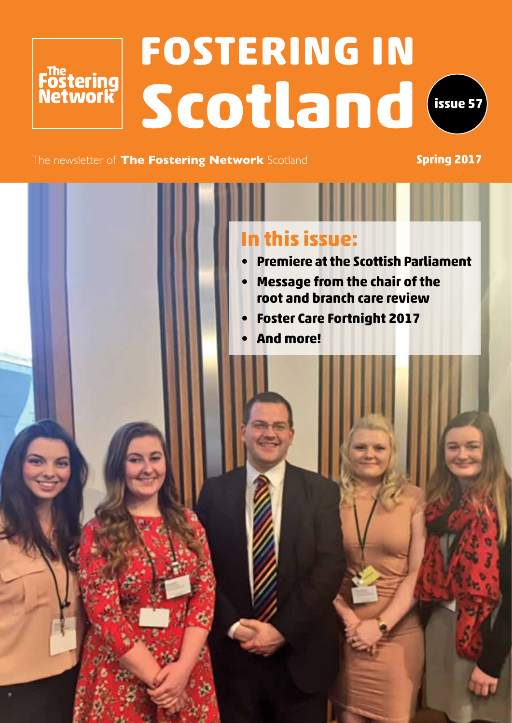# **FOSTERING IN Scotland**



The newsletter of **The Fostering Network** Scotland **Spring 2017** 

Fostering<br>Network

### **In this issue:**

- **• Premiere at the Scottish Parliament**
- **• Message from the chair of the root and branch care review**
- **• Foster Care Fortnight 2017**
- **• And more!**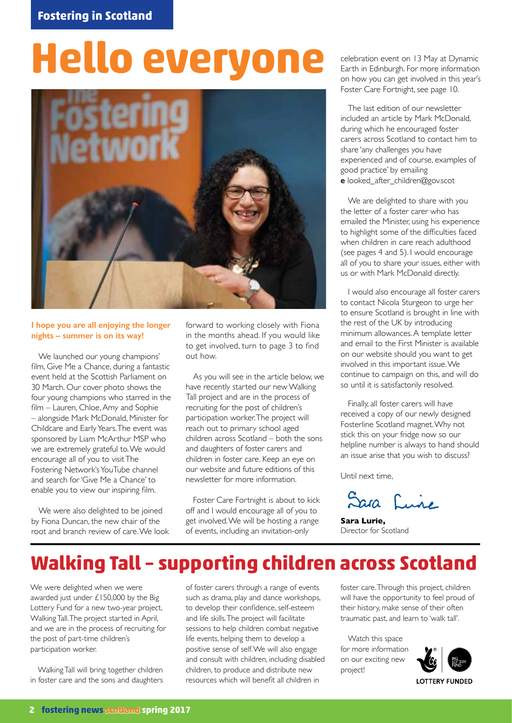# **Hello everyone**



#### **I hope you are all enjoying the longer nights – summer is on its way!**

We launched our young champions' film, Give Me a Chance, during a fantastic event held at the Scottish Parliament on 30 March. Our cover photo shows the four young champions who starred in the film – Lauren, Chloe, Amy and Sophie – alongside Mark McDonald, Minister for Childcare and Early Years. The event was sponsored by Liam McArthur MSP who we are extremely grateful to. We would encourage all of you to visit The Fostering Network's YouTube channel and search for 'Give Me a Chance' to enable you to view our inspiring film.

We were also delighted to be joined by Fiona Duncan, the new chair of the root and branch review of care. We look

forward to working closely with Fiona in the months ahead. If you would like to get involved, turn to page 3 to find out how.

As you will see in the article below, we have recently started our new Walking Tall project and are in the process of recruiting for the post of children's participation worker. The project will reach out to primary school aged children across Scotland – both the sons and daughters of foster carers and children in foster care. Keep an eye on our website and future editions of this newsletter for more information.

Foster Care Fortnight is about to kick off and I would encourage all of you to get involved. We will be hosting a range of events, including an invitation-only

celebration event on 13 May at Dynamic Earth in Edinburgh. For more information on how you can get involved in this year's Foster Care Fortnight, see page 10.

The last edition of our newsletter included an article by Mark McDonald, during which he encouraged foster carers across Scotland to contact him to share 'any challenges you have experienced and of course, examples of good practice' by emailing **e** looked\_after\_children@gov.scot

We are delighted to share with you the letter of a foster carer who has emailed the Minister, using his experience to highlight some of the difficulties faced when children in care reach adulthood (see pages 4 and 5). I would encourage all of you to share your issues, either with us or with Mark McDonald directly.

I would also encourage all foster carers to contact Nicola Sturgeon to urge her to ensure Scotland is brought in line with the rest of the UK by introducing minimum allowances. A template letter and email to the First Minister is available on our website should you want to get involved in this important issue. We continue to campaign on this, and will do so until it is satisfactorily resolved.

Finally, all foster carers will have received a copy of our newly designed Fosterline Scotland magnet. Why not stick this on your fridge now so our helpline number is always to hand should an issue arise that you wish to discuss?

Until next time,

Sara Lune

**Sara Lurie,**  Director for Scotland

### **Walking Tall – supporting children across Scotland**

We were delighted when we were awarded just under £150,000 by the Big Lottery Fund for a new two-year project, Walking Tall. The project started in April, and we are in the process of recruiting for the post of part-time children's participation worker.

Walking Tall will bring together children in foster care and the sons and daughters

of foster carers through a range of events such as drama, play and dance workshops, to develop their confidence, self-esteem and life skills. The project will facilitate sessions to help children combat negative life events, helping them to develop a positive sense of self. We will also engage and consult with children, including disabled children, to produce and distribute new resources which will benefit all children in

foster care. Through this project, children will have the opportunity to feel proud of their history, make sense of their often traumatic past, and learn to 'walk tall'.

Watch this space for more information on our exciting new project!



**2 fostering news scotland spring 2017**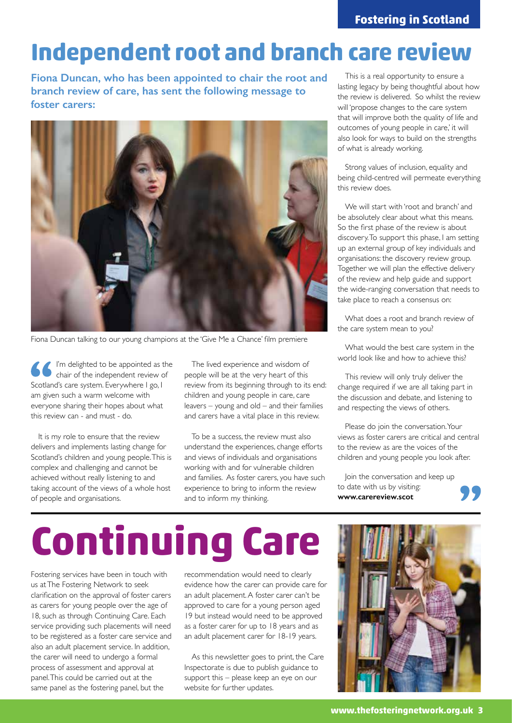### **Independent root and branch care review**

**Fiona Duncan, who has been appointed to chair the root and branch review of care, has sent the following message to foster carers:** 



Fiona Duncan talking to our young champions at the 'Give Me a Chance' film premiere

I'm delighted to be appointed as the chair of the independent review of Scotland's care system. Everywhere I go, I am given such a warm welcome with everyone sharing their hopes about what this review can - and must - do.

It is my role to ensure that the review delivers and implements lasting change for Scotland's children and young people. This is complex and challenging and cannot be achieved without really listening to and taking account of the views of a whole host of people and organisations.

The lived experience and wisdom of people will be at the very heart of this review from its beginning through to its end: children and young people in care, care leavers – young and old – and their families and carers have a vital place in this review.

To be a success, the review must also understand the experiences, change efforts and views of individuals and organisations working with and for vulnerable children and families. As foster carers, you have such experience to bring to inform the review and to inform my thinking.

This is a real opportunity to ensure a lasting legacy by being thoughtful about how the review is delivered. So whilst the review will 'propose changes to the care system that will improve both the quality of life and outcomes of young people in care,' it will also look for ways to build on the strengths of what is already working.

Strong values of inclusion, equality and being child-centred will permeate everything this review does.

We will start with 'root and branch' and be absolutely clear about what this means. So the first phase of the review is about discovery. To support this phase, I am setting up an external group of key individuals and organisations: the discovery review group. Together we will plan the effective delivery of the review and help guide and support the wide-ranging conversation that needs to take place to reach a consensus on:

What does a root and branch review of the care system mean to you?

What would the best care system in the world look like and how to achieve this?

This review will only truly deliver the change required if we are all taking part in the discussion and debate, and listening to and respecting the views of others.

Please do join the conversation. Your views as foster carers are critical and central to the review as are the voices of the children and young people you look after.

Join the conversation and keep up to date with us by visiting: **www.carereview.scot**



# **Continuing Care**

Fostering services have been in touch with us at The Fostering Network to seek clarification on the approval of foster carers as carers for young people over the age of 18, such as through Continuing Care. Each service providing such placements will need to be registered as a foster care service and also an adult placement service. In addition, the carer will need to undergo a formal process of assessment and approval at panel. This could be carried out at the same panel as the fostering panel, but the

recommendation would need to clearly evidence how the carer can provide care for an adult placement. A foster carer can't be approved to care for a young person aged 19 but instead would need to be approved as a foster carer for up to 18 years and as an adult placement carer for 18-19 years.

As this newsletter goes to print, the Care Inspectorate is due to publish guidance to support this – please keep an eye on our website for further updates.

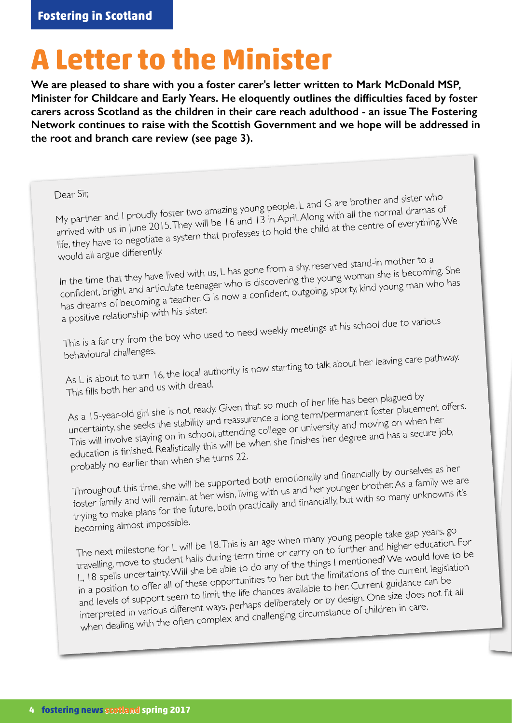# **A Letter to the Minister**

**We are pleased to share with you a foster carer's letter written to Mark McDonald MSP, Minister for Childcare and Early Years. He eloquently outlines the difficulties faced by foster carers across Scotland as the children in their care reach adulthood - an issue The Fostering Network continues to raise with the Scottish Government and we hope will be addressed in the root and branch care review (see page 3).** 

Dear Sir,<br>My partner and I proudly foster two amazing young people. L and G are brother and sister who<br>My partner and I proudly foster two amazing young people. L and G are brother and ramas of everything. arrived with us in June 2015. They will be 16 and 13 in April. Along with all the normal dramas of life, they have to negotiate a system that professes to hold the child at the centre of everything. We would all argue differently.

In the time that they have lived with us, L has gone from a shy, reserved stand-in mother to a confident, bright and articulate teenager who is discovering the young woman she is becoming. She has dreams of becoming a teacher. G is now a confident, outgoing, sporty, kind young man who has a positive relationship with his sister.

This is a far cry from the boy who used to need weekly meetings at his school due to various

behavioural challenges.

As L is about to turn 16, the local authority is now starting to talk about her leaving care pathway. This fills both her and us with dread.

As a 15-year-old girl she is not ready. Given that so much of her life has been plagued by uncertainty, she seeks the stability and reassurance a long term/permanent foster placement offers. This will involve staying on in school, attending college or university and moving on when her education is finished. Realistically this will be when she finishes her degree and has a secure job, probably no earlier than when she turns 22.

Throughout this time, she will be supported both emotionally and financially by ourselves as her foster family and will remain, at her wish, living with us and her younger brother. As a family we are trying to make plans for the future, both practically and financially, but with so many unknowns it's becoming almost impossible.

The next milestone for L will be 18. This is an age when many young people take gap years, go travelling, move to student halls during term time or carry on to further and higher education. For L, 18 spells uncertainty. Will she be able to do any of the things I mentioned? We would love to be in a position to offer all of these opportunities to her but the limitations of the current legislation and levels of support seem to limit the life chances available to her. Current guidance can be interpreted in various different ways, perhaps deliberately or by design. One size does not fit all when dealing with the often complex and challenging circumstance of children in care.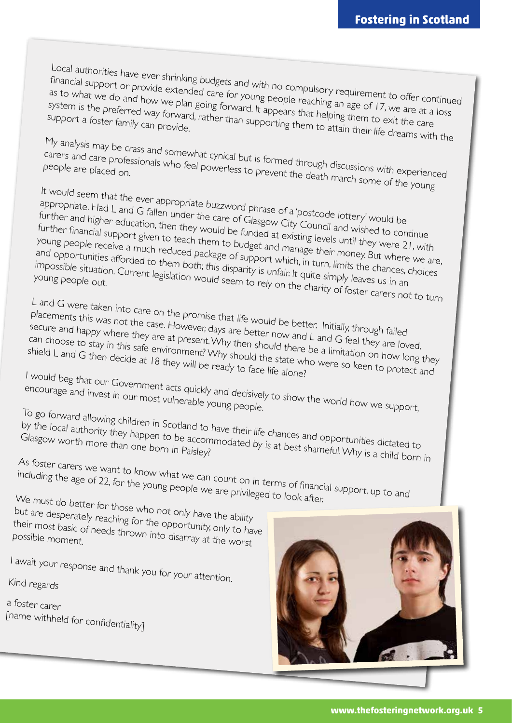Local authorities have ever shrinking budgets and with no compulsory requirement to offer continued financial support or provide extended care for young people reaching an age of 17, we are at a loss as to what we do and how we plan going forward. It appears that helping an age of 17, we are at a<br>system is the preferred way forward, rather than supporting that helping them to exit the care<br>support a foster family can p system is the preferred way forward, rather than supporting them to attain their life dreams with the

My analysis may be crass and somewhat cynical but is formed through discussions with experienced<br>Carers and care professionals who feel powerless to prevent the death mandle with experienced carers and care professionals who feel powerless to prevent the death march some of the young<br>people are placed on.

It would seem that the ever appropriate buzzword phrase of a 'postcode lottery' would be appropriate. Had L and G fallen under the care of Glasgow City Council and wished to continue further and higher education, then they would be funded at existing levels until they were 21, with further financial support given to teach them to budget and manage their money. But where we are, young people receive a much reduced package of support which, in turn, limits the chances, choices and opportunities afforded to them both; this disparity is unfaining their money. But where<br>impossible situation. Current legislation would seem to rely on the channel in an young people out. impossible situation. Current legislation would seem to rely on the charity of foster carers not to turn

L and G were taken into care on the promise that life would be better. Initially, through failed placements this was not the case. However, days are better now and L and G feel they are loved,<br>secure and happy where they are at present. Why then should there be a limitation on how long to<br>shield L and G then decide a secure and happy where they are at present. Why then should there be a limitation on how long they can choose to stay in this safe environment? Why then should there be a limitation on how long the shield L and G then decide at 18 they will be ready to face life alone?

I would beg that our Government acts quickly and decisively to show the world how we support,<br>encourage and invest in our most vulnerable young people.<br>Letting the world how we support,

encourage and invest in our most vulnerable young people.<br>To go forward allowing children in Scotland to have their life chances and opportunities dictated to by the local authority they happen to be accommodated by is at best shameful. Why is a child born in<br>Glasgow worth more than one born in Paisley?<br>As failed born in Carlo born in Paisley?

As foster carers we want to know what we can count on in terms of financial support, up to and<br>including the age of 22, for the young people we are privileged to look after.<br>We must do but we can including the age of 22, for the young people we are privileged to look after.<br>We must do better for those who not only have the ability

but are desperately reaching for the opportunity, only to have<br>their most basic of needs thrown into disarray at the worst their most basic of needs thrown into disarray at the worst<br>possible moment.

# I await your response and thank you for your attention.

Kind regards

### a foster carer [name withheld for confidentiality]

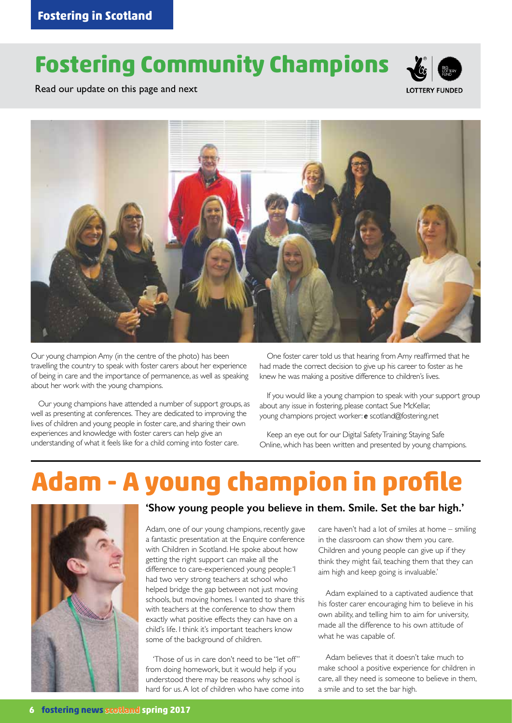### **Fostering Community Champions**



Read our update on this page and next



Our young champion Amy (in the centre of the photo) has been travelling the country to speak with foster carers about her experience of being in care and the importance of permanence, as well as speaking about her work with the young champions.

Our young champions have attended a number of support groups, as well as presenting at conferences. They are dedicated to improving the lives of children and young people in foster care, and sharing their own experiences and knowledge with foster carers can help give an understanding of what it feels like for a child coming into foster care.

One foster carer told us that hearing from Amy reaffirmed that he had made the correct decision to give up his career to foster as he knew he was making a positive difference to children's lives.

If you would like a young champion to speak with your support group about any issue in fostering, please contact Sue McKellar, young champions project worker: *e* scotland@fostering.net

Keep an eye out for our Digital Safety Training: Staying Safe Online, which has been written and presented by young champions.

# **Adam - A young champion in profile**



#### **'Show young people you believe in them. Smile. Set the bar high.'**

Adam, one of our young champions, recently gave a fantastic presentation at the Enquire conference with Children in Scotland. He spoke about how getting the right support can make all the difference to care-experienced young people: 'I had two very strong teachers at school who helped bridge the gap between not just moving schools, but moving homes. I wanted to share this with teachers at the conference to show them exactly what positive effects they can have on a child's life. I think it's important teachers know some of the background of children.

'Those of us in care don't need to be "let off" from doing homework, but it would help if you understood there may be reasons why school is hard for us. A lot of children who have come into care haven't had a lot of smiles at home – smiling in the classroom can show them you care. Children and young people can give up if they think they might fail, teaching them that they can aim high and keep going is invaluable.'

Adam explained to a captivated audience that his foster carer encouraging him to believe in his own ability, and telling him to aim for university, made all the difference to his own attitude of what he was capable of.

Adam believes that it doesn't take much to make school a positive experience for children in care, all they need is someone to believe in them, a smile and to set the bar high.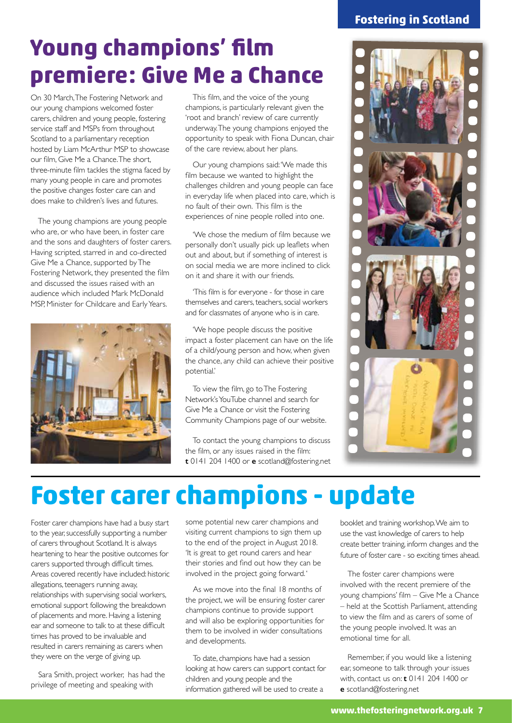### **Fostering in Scotland**

### **Young champions' film premiere: Give Me a Chance**

On 30 March, The Fostering Network and our young champions welcomed foster carers, children and young people, fostering service staff and MSPs from throughout Scotland to a parliamentary reception hosted by Liam McArthur MSP to showcase our film, Give Me a Chance. The short, three-minute film tackles the stigma faced by many young people in care and promotes the positive changes foster care can and does make to children's lives and futures.

The young champions are young people who are, or who have been, in foster care and the sons and daughters of foster carers. Having scripted, starred in and co-directed Give Me a Chance, supported by The Fostering Network, they presented the film and discussed the issues raised with an audience which included Mark McDonald MSP, Minister for Childcare and Early Years.



This film, and the voice of the young champions, is particularly relevant given the 'root and branch' review of care currently underway. The young champions enjoyed the opportunity to speak with Fiona Duncan, chair of the care review, about her plans.

Our young champions said: 'We made this film because we wanted to highlight the challenges children and young people can face in everyday life when placed into care, which is no fault of their own. This film is the experiences of nine people rolled into one.

'We chose the medium of film because we personally don't usually pick up leaflets when out and about, but if something of interest is on social media we are more inclined to click on it and share it with our friends.

'This film is for everyone - for those in care themselves and carers, teachers, social workers and for classmates of anyone who is in care.

'We hope people discuss the positive impact a foster placement can have on the life of a child/young person and how, when given the chance, any child can achieve their positive potential.'

To view the film, go to The Fostering Network's YouTube channel and search for Give Me a Chance or visit the Fostering Community Champions page of our website.

To contact the young champions to discuss the film, or any issues raised in the film: **t** 0141 204 1400 or **e** scotland@fostering.net



## **Foster carer champions - update**

Foster carer champions have had a busy start to the year, successfully supporting a number of carers throughout Scotland. It is always heartening to hear the positive outcomes for carers supported through difficult times. Areas covered recently have included: historic allegations, teenagers running away, relationships with supervising social workers, emotional support following the breakdown of placements and more. Having a listening ear and someone to talk to at these difficult times has proved to be invaluable and resulted in carers remaining as carers when they were on the verge of giving up.

Sara Smith, project worker, has had the privilege of meeting and speaking with

some potential new carer champions and visiting current champions to sign them up to the end of the project in August 2018. 'It is great to get round carers and hear their stories and find out how they can be involved in the project going forward. '

As we move into the final 18 months of the project, we will be ensuring foster carer champions continue to provide support and will also be exploring opportunities for them to be involved in wider consultations and developments.

To date, champions have had a session looking at how carers can support contact for children and young people and the information gathered will be used to create a

booklet and training workshop. We aim to use the vast knowledge of carers to help create better training, inform changes and the future of foster care - so exciting times ahead.

The foster carer champions were involved with the recent premiere of the young champions' film – Give Me a Chance – held at the Scottish Parliament, attending to view the film and as carers of some of the young people involved. It was an emotional time for all.

Remember, if you would like a listening ear, someone to talk through your issues with, contact us on: **t** 0141 204 1400 or **e** scotland@fostering.net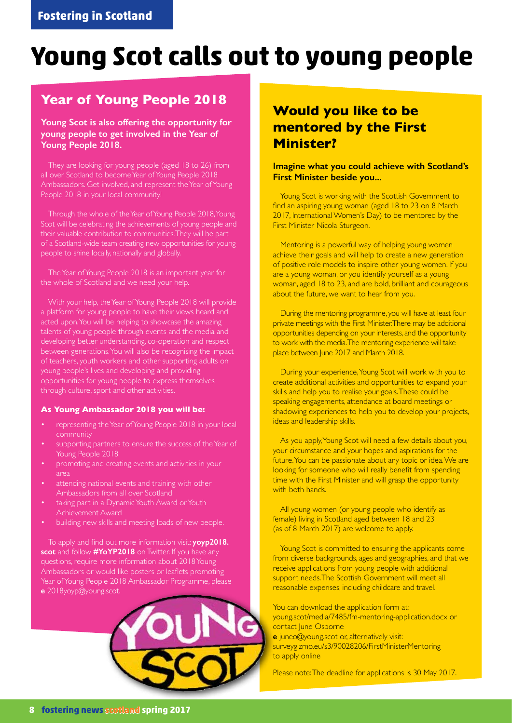## **Young Scot calls out to young people**

### **Year of Young People 2018**

#### **Young Scot is also offering the opportunity for young people to get involved in the Year of Young People 2018.**

They are looking for young people (aged 18 to 26) from all over Scotland to become Year of Young People 2018 Ambassadors. Get involved, and represent the Year of Young People 2018 in your local community!

Through the whole of the Year of Young People 2018, Young Scot will be celebrating the achievements of young people and their valuable contribution to communities. They will be part of a Scotland-wide team creating new opportunities for young people to shine locally, nationally and globally.

The Year of Young People 2018 is an important year for the whole of Scotland and we need your help.

With your help, the Year of Young People 2018 will provide a platform for young people to have their views heard and acted upon. You will be helping to showcase the amazing talents of young people through events and the media and developing better understanding, co-operation and respect between generations. You will also be recognising the impact of teachers, youth workers and other supporting adults on young people's lives and developing and providing opportunities for young people to express themselves through culture, sport and other activities.

#### **As Young Ambassador 2018 you will be:**

- representing the Year of Young People 2018 in your local community
- supporting partners to ensure the success of the Year of Young People 2018
- promoting and creating events and activities in your area
- attending national events and training with other Ambassadors from all over Scotland
- taking part in a Dynamic Youth Award or Youth Achievement Award
- building new skills and meeting loads of new people.

To apply and find out more information visit: **yoyp2018. scot** and follow **#YoYP2018** on Twitter. If you have any questions, require more information about 2018 Young Ambassadors or would like posters or leaflets promoting Year of Young People 2018 Ambassador Programme, please **e** 2018yoyp@young.scot.



### **Would you like to be mentored by the First Minister?**

#### **Imagine what you could achieve with Scotland's First Minister beside you...**

Young Scot is working with the Scottish Government to find an aspiring young woman (aged 18 to 23 on 8 March 2017, International Women's Day) to be mentored by the First Minister Nicola Sturgeon.

Mentoring is a powerful way of helping young women achieve their goals and will help to create a new generation of positive role models to inspire other young women. If you are a young woman, or you identify yourself as a young woman, aged 18 to 23, and are bold, brilliant and courageous about the future, we want to hear from you.

During the mentoring programme, you will have at least four private meetings with the First Minister. There may be additional opportunities depending on your interests, and the opportunity to work with the media. The mentoring experience will take place between June 2017 and March 2018.

During your experience, Young Scot will work with you to create additional activities and opportunities to expand your skills and help you to realise your goals. These could be speaking engagements, attendance at board meetings or shadowing experiences to help you to develop your projects, ideas and leadership skills.

As you apply, Young Scot will need a few details about you, your circumstance and your hopes and aspirations for the future. You can be passionate about any topic or idea. We are looking for someone who will really benefit from spending time with the First Minister and will grasp the opportunity with both hands.

All young women (or young people who identify as female) living in Scotland aged between 18 and 23 (as of 8 March 2017) are welcome to apply.

Young Scot is committed to ensuring the applicants come from diverse backgrounds, ages and geographies, and that we receive applications from young people with additional support needs. The Scottish Government will meet all reasonable expenses, including childcare and travel.

You can download the application form at: young.scot/media/7485/fm-mentoring-application.docx or contact June Osborne **e** juneo@young.scot or, alternatively visit: surveygizmo.eu/s3/90028206/FirstMinisterMentoring

Please note: The deadline for applications is 30 May 2017.

to apply online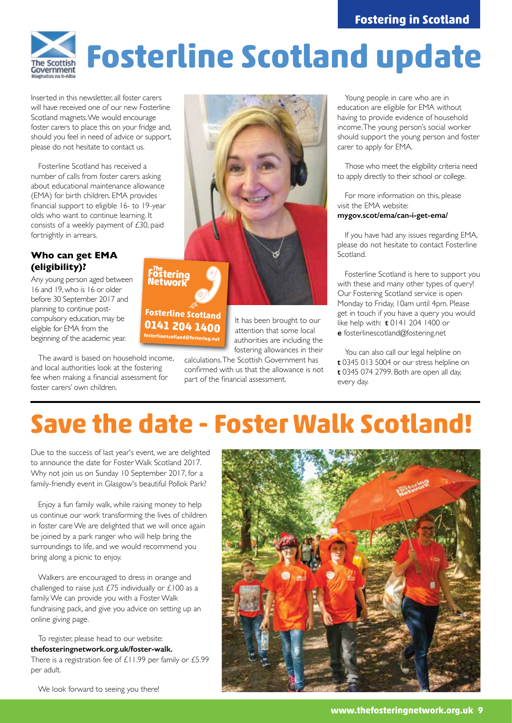

# **Fosterline Scotland update**

Inserted in this newsletter, all foster carers will have received one of our new Fosterline Scotland magnets. We would encourage foster carers to place this on your fridge and, should you feel in need of advice or support, please do not hesitate to contact us.

Fosterline Scotland has received a number of calls from foster carers asking about educational maintenance allowance (EMA) for birth children. EMA provides financial support to eligible 16- to 19-year olds who want to continue learning. It consists of a weekly payment of  $\overline{230}$ , paid fortnightly in arrears.

#### **Who can get EMA (eligibility)?**

Any young person aged between 16 and 19, who is 16 or older before 30 September 2017 and planning to continue postcompulsory education, may be eligible for EMA from the beginning of the academic year.

The award is based on household income, and local authorities look at the fostering fee when making a financial assessment for foster carers' own children.



It has been brought to our attention that some local authorities are including the fostering allowances in their

calculations. The Scottish Government has confirmed with us that the allowance is not part of the financial assessment.

**0141 204 1400 fosterlinescotland@fostering.net**

Young people in care who are in education are eligible for EMA without having to provide evidence of household income. The young person's social worker should support the young person and foster carer to apply for EMA.

Those who meet the eligibility criteria need to apply directly to their school or college.

For more information on this, please visit the EMA website:

#### **mygov.scot/ema/can-i-get-ema/**

If you have had any issues regarding EMA, please do not hesitate to contact Fosterline Scotland.

Fosterline Scotland is here to support you with these and many other types of query! Our Fostering Scotland service is open Monday to Friday, 10am until 4pm. Please get in touch if you have a query you would like help with: **t** 0141 204 1400 or **e** fosterlinescotland@fostering.net

You can also call our legal helpline on **t** 0345 013 5004 or our stress helpline on **t** 0345 074 2799. Both are open all day, every day.

## **Save the date - Foster Walk Scotland!**

Due to the success of last year's event, we are delighted to announce the date for Foster Walk Scotland 2017. Why not join us on Sunday 10 September 2017, for a family-friendly event in Glasgow's beautiful Pollok Park?

Enjoy a fun family walk, while raising money to help us continue our work transforming the lives of children in foster care We are delighted that we will once again be joined by a park ranger who will help bring the surroundings to life, and we would recommend you bring along a picnic to enjoy.

Walkers are encouraged to dress in orange and challenged to raise just  $£75$  individually or  $£100$  as a family. We can provide you with a Foster Walk fundraising pack, and give you advice on setting up an online giving page.

To register, please head to our website: **thefosteringnetwork.org.uk/foster-walk.**  There is a registration fee of £11.99 per family or £5.99 per adult.

We look forward to seeing you there!

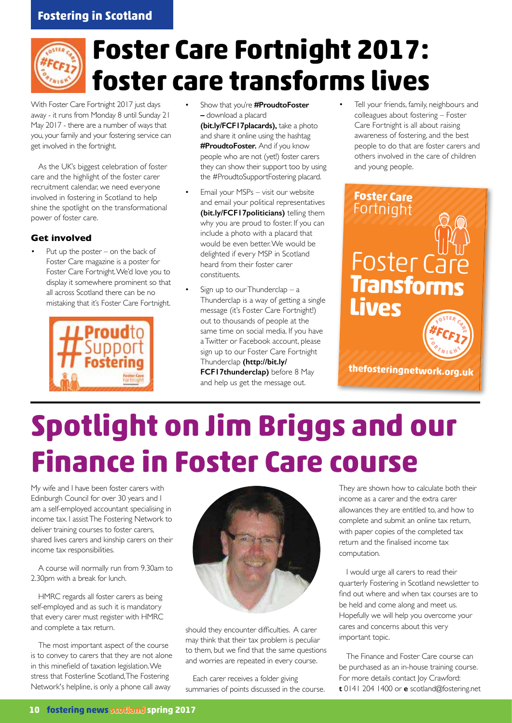### **Fostering in Scotland**

## **Foster Care Fortnight 2017: foster care transforms lives**

With Foster Care Fortnight 2017 just days away - it runs from Monday 8 until Sunday 21 May 2017 - there are a number of ways that you, your family and your fostering service can get involved in the fortnight.

As the UK's biggest celebration of foster care and the highlight of the foster carer recruitment calendar, we need everyone involved in fostering in Scotland to help shine the spotlight on the transformational power of foster care.

#### **Get involved**

Put up the poster – on the back of Foster Care magazine is a poster for Foster Care Fortnight. We'd love you to display it somewhere prominent so that all across Scotland there can be no mistaking that it's Foster Care Fortnight.



- Show that you're **#ProudtoFoster –** download a placard **(bit.ly/FCF17placards),** take a photo and share it online using the hashtag **#ProudtoFoster.** And if you know people who are not (yet!) foster carers they can show their support too by using the #ProudtoSupportFostering placard.
- Email your MSPs visit our website and email your political representatives **(bit.ly/FCF17politicians)** telling them why you are proud to foster. If you can include a photo with a placard that would be even better. We would be delighted if every MSP in Scotland heard from their foster carer constituents.
- Sign up to our Thunderclap  $-$  a Thunderclap is a way of getting a single message (it's Foster Care Fortnight!) out to thousands of people at the same time on social media. If you have a Twitter or Facebook account, please sign up to our Foster Care Fortnight Thunderclap **(http://bit.ly/ FCF17thunderclap)** before 8 May

and help us get the message out.

Tell your friends, family, neighbours and colleagues about fostering – Foster Care Fortnight is all about raising awareness of fostering, and the best people to do that are foster carers and others involved in the care of children and young people.

### Foster Ca **Transforms Lives Foster Care** Fortnight

**thefosteringnetwork.org.uk**

# **Spotlight on Jim Briggs and our Finance in Foster Care course**

My wife and I have been foster carers with Edinburgh Council for over 30 years and I am a self-employed accountant specialising in income tax. I assist The Fostering Network to deliver training courses to foster carers, shared lives carers and kinship carers on their income tax responsibilities.

A course will normally run from 9.30am to 2.30pm with a break for lunch.

HMRC regards all foster carers as being self-employed and as such it is mandatory that every carer must register with HMRC and complete a tax return.

The most important aspect of the course is to convey to carers that they are not alone in this minefield of taxation legislation. We stress that Fosterline Scotland, The Fostering Network's helpline, is only a phone call away



should they encounter difficulties. A carer may think that their tax problem is peculiar to them, but we find that the same questions and worries are repeated in every course.

Each carer receives a folder giving summaries of points discussed in the course. They are shown how to calculate both their income as a carer and the extra carer allowances they are entitled to, and how to complete and submit an online tax return, with paper copies of the completed tax return and the finalised income tax computation.

I would urge all carers to read their quarterly Fostering in Scotland newsletter to find out where and when tax courses are to be held and come along and meet us. Hopefully we will help you overcome your cares and concerns about this very important topic.

The Finance and Foster Care course can be purchased as an in-house training course. For more details contact Joy Crawford: **t** 0141 204 1400 or **e** scotland@fostering.net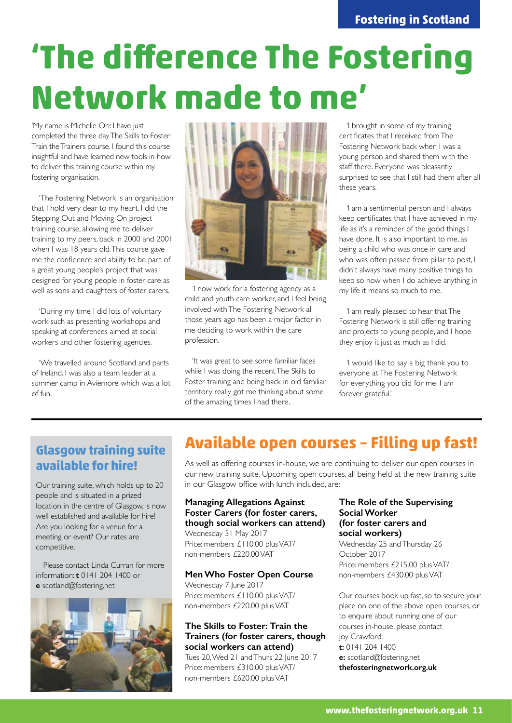# **'The difference The Fostering Network made to me'**

'My name is Michelle Orr. I have just completed the three day The Skills to Foster: Train the Trainers course. I found this course insightful and have learned new tools in how to deliver this training course within my fostering organisation.

'The Fostering Network is an organisation that I hold very dear to my heart. I did the Stepping Out and Moving On project training course, allowing me to deliver training to my peers, back in 2000 and 2001 when I was 18 years old. This course gave me the confidence and ability to be part of a great young people's project that was designed for young people in foster care as well as sons and daughters of foster carers.

'During my time I did lots of voluntary work such as presenting workshops and speaking at conferences aimed at social workers and other fostering agencies.

'We travelled around Scotland and parts of Ireland. I was also a team leader at a summer camp in Aviemore which was a lot of fun.



'I now work for a fostering agency as a child and youth care worker, and I feel being involved with The Fostering Network all those years ago has been a major factor in me deciding to work within the care profession.

'It was great to see some familiar faces while I was doing the recent The Skills to Foster training and being back in old familiar territory really got me thinking about some of the amazing times I had there.

'I brought in some of my training certificates that I received from The Fostering Network back when I was a young person and shared them with the staff there. Everyone was pleasantly surprised to see that I still had them after all these years.

'I am a sentimental person and I always keep certificates that I have achieved in my life as it's a reminder of the good things I have done. It is also important to me, as being a child who was once in care and who was often passed from pillar to post, I didn't always have many positive things to keep so now when I do achieve anything in my life it means so much to me.

'I am really pleased to hear that The Fostering Network is still offering training and projects to young people, and I hope they enjoy it just as much as I did.

'I would like to say a big thank you to everyone at The Fostering Network for everything you did for me. I am forever grateful.'

### **Glasgow training suite available for hire!**

Our training suite, which holds up to 20 people and is situated in a prized location in the centre of Glasgow, is now well established and available for hire! Are you looking for a venue for a meeting or event? Our rates are competitive.

Please contact Linda Curran for more information: **t** 0141 204 1400 or **e** scotland@fostering.net



### **Available open courses – Filling up fast!**

As well as offering courses in-house, we are continuing to deliver our open courses in our new training suite. Upcoming open courses, all being held at the new training suite in our Glasgow office with lunch included, are:

#### **Managing Allegations Against Foster Carers (for foster carers, though social workers can attend)**

Wednesday 31 May 2017 Price: members £110.00 plus VAT/ non-members £220.00 VAT

#### **Men Who Foster Open Course**

Wednesday 7 June 2017 Price: members £110.00 plus VAT/ non-members £220.00 plus VAT

#### **The Skills to Foster: Train the Trainers (for foster carers, though social workers can attend)**

Tues 20, Wed 21 and Thurs 22 June 2017 Price: members £310.00 plus VAT/ non-members £620.00 plus VAT

#### **The Role of the Supervising Social Worker (for foster carers and social workers)**

Wednesday 25 and Thursday 26 October 2017 Price: members £215.00 plus VAT/ non-members £430.00 plus VAT

Our courses book up fast, so to secure your place on one of the above open courses, or to enquire about running one of our courses in-house, please contact Joy Crawford: **t:** 0141 204 1400 **e:** scotland@fostering.net **thefosteringnetwork.org.uk**